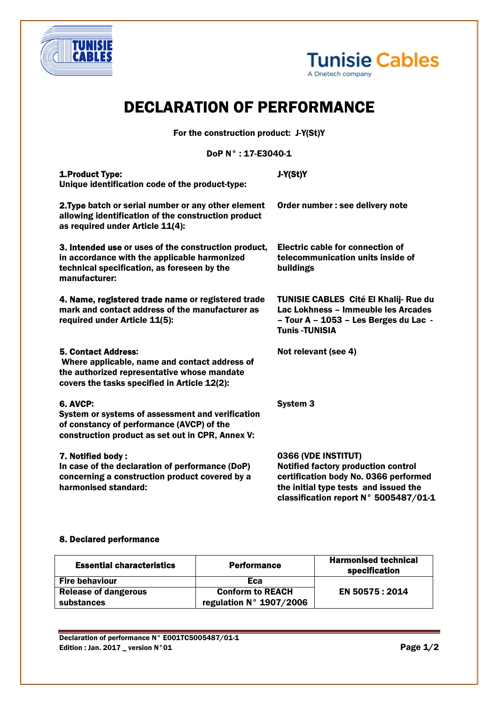



## DECLARATION OF PERFORMANCE

For the construction product: J-Y(St)Y

DoP N° : 17-E3040-1

| 1. Product Type:<br>Unique identification code of the product-type:                                                                                                        | J-Y(St)Y                                                                                                                                                                              |  |
|----------------------------------------------------------------------------------------------------------------------------------------------------------------------------|---------------------------------------------------------------------------------------------------------------------------------------------------------------------------------------|--|
| 2. Type batch or serial number or any other element<br>allowing identification of the construction product<br>as required under Article 11(4):                             | Order number : see delivery note                                                                                                                                                      |  |
| 3. Intended use or uses of the construction product,<br>in accordance with the applicable harmonized<br>technical specification, as foreseen by the<br>manufacturer:       | Electric cable for connection of<br>telecommunication units inside of<br>buildings                                                                                                    |  |
| 4. Name, registered trade name or registered trade<br>mark and contact address of the manufacturer as<br>required under Article 11(5):                                     | <b>TUNISIE CABLES Cité El Khalij- Rue du</b><br>Lac Lokhness - Immeuble les Arcades<br>- Tour A - 1053 - Les Berges du Lac -<br><b>Tunis -TUNISIA</b>                                 |  |
| <b>5. Contact Address:</b><br>Where applicable, name and contact address of<br>the authorized representative whose mandate<br>covers the tasks specified in Article 12(2): | Not relevant (see 4)                                                                                                                                                                  |  |
| <b>6. AVCP:</b><br>System or systems of assessment and verification<br>of constancy of performance (AVCP) of the<br>construction product as set out in CPR, Annex V:       | <b>System 3</b>                                                                                                                                                                       |  |
| 7. Notified body:<br>In case of the declaration of performance (DoP)<br>concerning a construction product covered by a<br>harmonised standard:                             | 0366 (VDE INSTITUT)<br>Notified factory production control<br>certification body No. 0366 performed<br>the initial type tests and issued the<br>classification report N° 5005487/01-1 |  |

## 8. Declared performance

| <b>Essential characteristics</b> | Performance                      | <b>Harmonised technical</b><br>specification |
|----------------------------------|----------------------------------|----------------------------------------------|
| <b>Fire behaviour</b>            | Eca                              |                                              |
| <b>Release of dangerous</b>      | <b>Conform to REACH</b>          | EN 50575:2014                                |
| substances                       | regulation $N^{\circ}$ 1907/2006 |                                              |